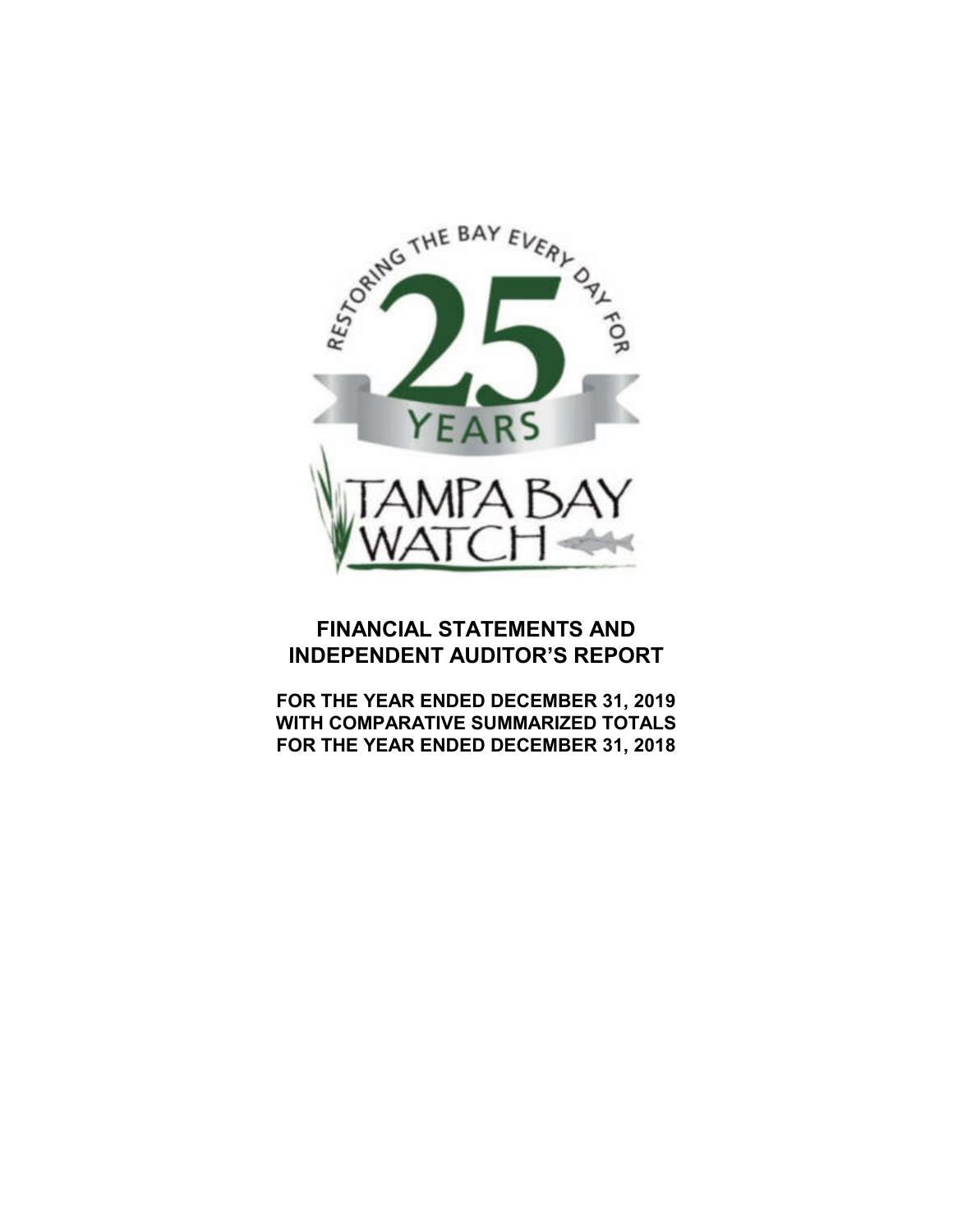

# **FINANCIAL STATEMENTS AND INDEPENDENT AUDITOR'S REPORT**

**FOR THE YEAR ENDED DECEMBER 31, 2019 WITH COMPARATIVE SUMMARIZED TOTALS FOR THE YEAR ENDED DECEMBER 31, 2018**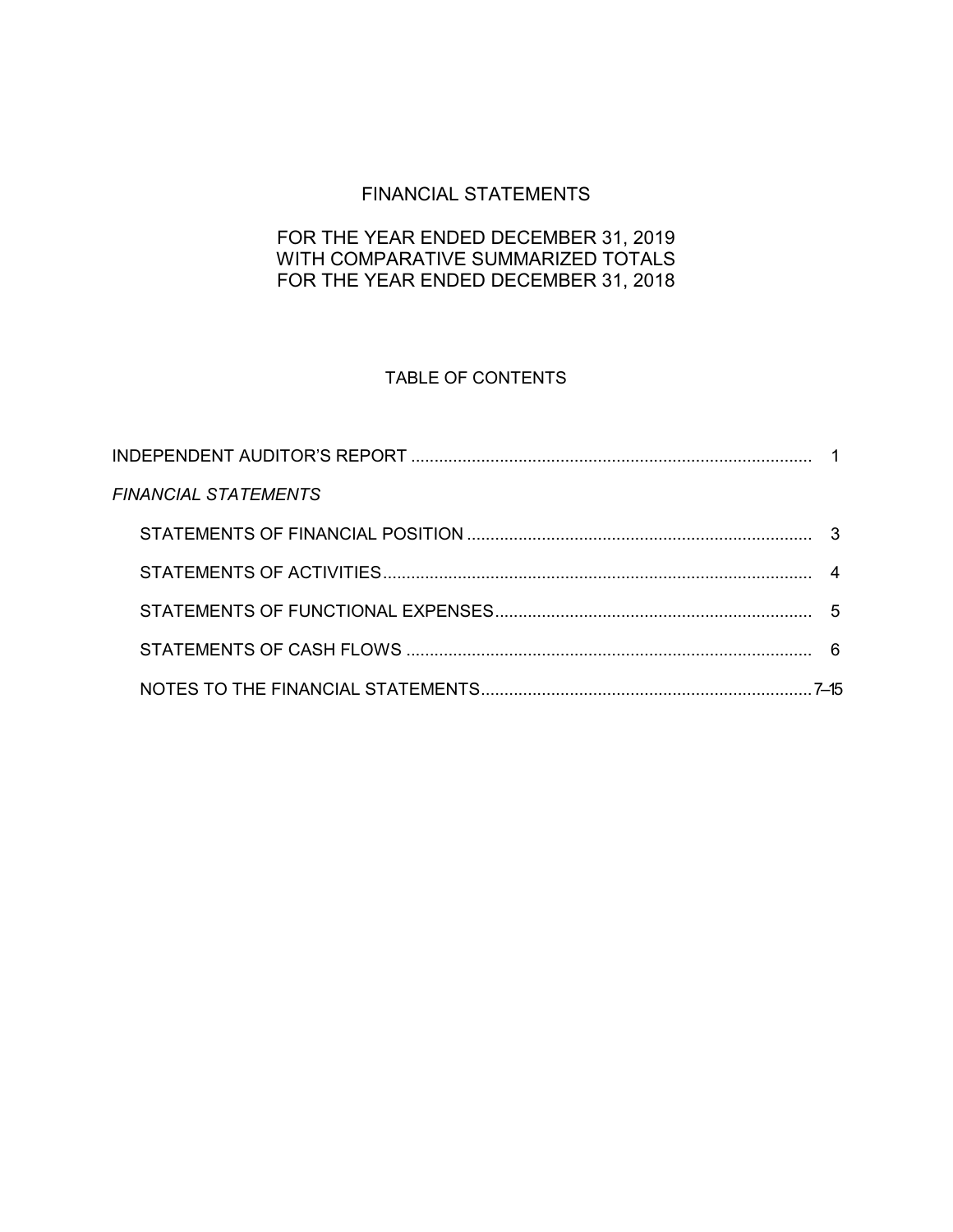# FINANCIAL STATEMENTS

# FOR THE YEAR ENDED DECEMBER 31, 2019 WITH COMPARATIVE SUMMARIZED TOTALS FOR THE YEAR ENDED DECEMBER 31, 2018

# TABLE OF CONTENTS

| <b>FINANCIAL STATEMENTS</b> |  |
|-----------------------------|--|
|                             |  |
|                             |  |
|                             |  |
|                             |  |
|                             |  |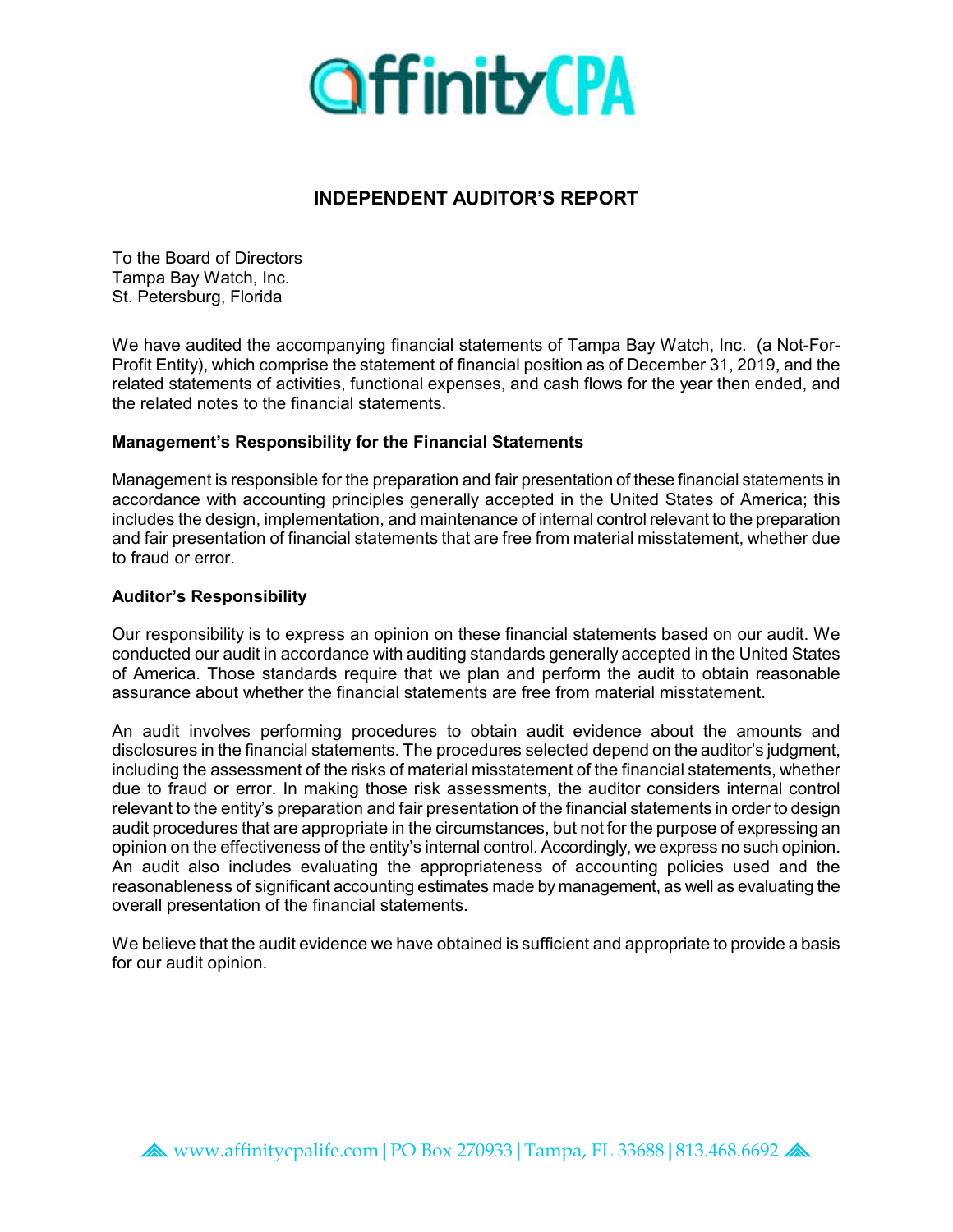

# **INDEPENDENT AUDITOR'S REPORT**

To the Board of Directors Tampa Bay Watch, Inc. St. Petersburg, Florida

We have audited the accompanying financial statements of Tampa Bay Watch, Inc. (a Not-For-Profit Entity), which comprise the statement of financial position as of December 31, 2019, and the related statements of activities, functional expenses, and cash flows for the year then ended, and the related notes to the financial statements.

### **Management's Responsibility for the Financial Statements**

Management is responsible for the preparation and fair presentation of these financial statements in accordance with accounting principles generally accepted in the United States of America; this includes the design, implementation, and maintenance of internal control relevant to the preparation and fair presentation of financial statements that are free from material misstatement, whether due to fraud or error.

#### **Auditor's Responsibility**

Our responsibility is to express an opinion on these financial statements based on our audit. We conducted our audit in accordance with auditing standards generally accepted in the United States of America. Those standards require that we plan and perform the audit to obtain reasonable assurance about whether the financial statements are free from material misstatement.

An audit involves performing procedures to obtain audit evidence about the amounts and disclosures in the financial statements. The procedures selected depend on the auditor's judgment, including the assessment of the risks of material misstatement of the financial statements, whether due to fraud or error. In making those risk assessments, the auditor considers internal control relevant to the entity's preparation and fair presentation of the financial statements in order to design audit procedures that are appropriate in the circumstances, but not for the purpose of expressing an opinion on the effectiveness of the entity's internal control. Accordingly, we express no such opinion. An audit also includes evaluating the appropriateness of accounting policies used and the reasonableness of significant accounting estimates made by management, as well as evaluating the overall presentation of the financial statements.

We believe that the audit evidence we have obtained is sufficient and appropriate to provide a basis for our audit opinion.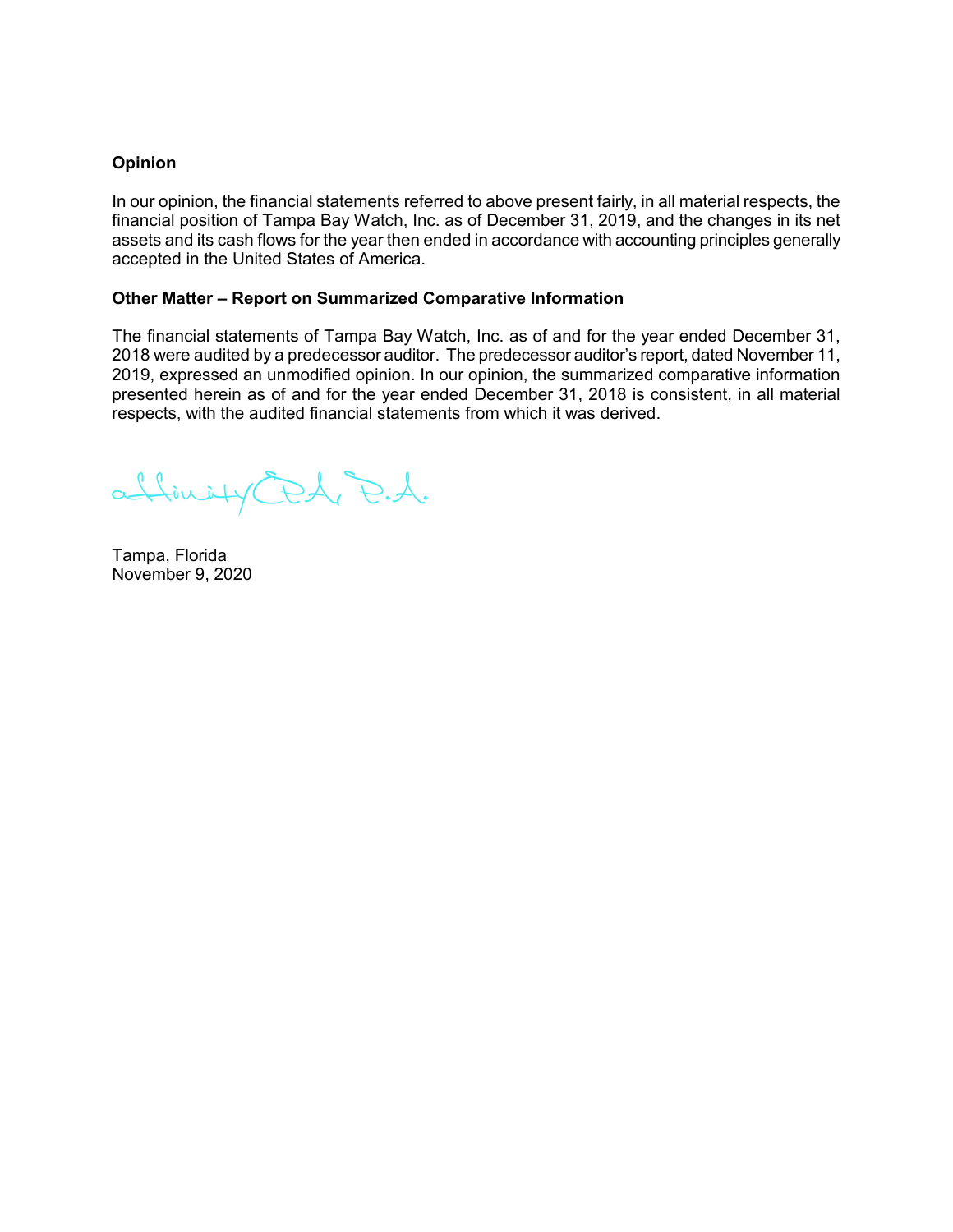#### **Opinion**

In our opinion, the financial statements referred to above present fairly, in all material respects, the financial position of Tampa Bay Watch, Inc. as of December 31, 2019, and the changes in its net assets and its cash flows for the year then ended in accordance with accounting principles generally accepted in the United States of America.

#### **Other Matter – Report on Summarized Comparative Information**

The financial statements of Tampa Bay Watch, Inc. as of and for the year ended December 31, 2018 were audited by a predecessor auditor. The predecessor auditor's report, dated November 11, 2019, expressed an unmodified opinion. In our opinion, the summarized comparative information presented herein as of and for the year ended December 31, 2018 is consistent, in all material respects, with the audited financial statements from which it was derived.

affinityCPA, P.A.

Tampa, Florida November 9, 2020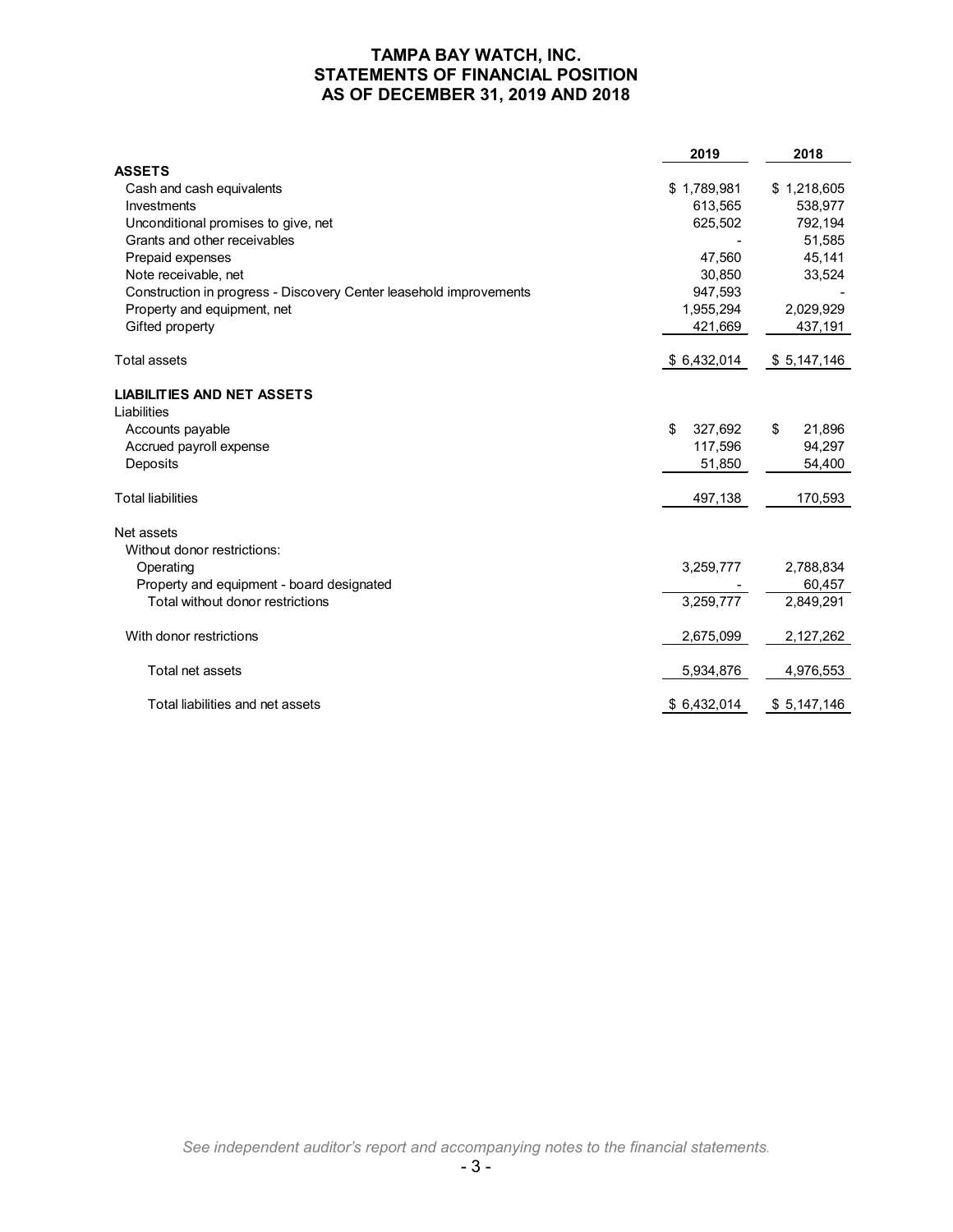### **TAMPA BAY WATCH, INC. STATEMENTS OF FINANCIAL POSITION AS OF DECEMBER 31, 2019 AND 2018**

|                                                                    | 2019          | 2018         |
|--------------------------------------------------------------------|---------------|--------------|
| <b>ASSETS</b>                                                      |               |              |
| Cash and cash equivalents                                          | \$1,789,981   | \$1,218,605  |
| Investments                                                        | 613.565       | 538,977      |
| Unconditional promises to give, net                                | 625,502       | 792,194      |
| Grants and other receivables                                       |               | 51,585       |
| Prepaid expenses                                                   | 47,560        | 45,141       |
| Note receivable, net                                               | 30,850        | 33,524       |
| Construction in progress - Discovery Center leasehold improvements | 947,593       |              |
| Property and equipment, net                                        | 1,955,294     | 2,029,929    |
| Gifted property                                                    | 421,669       | 437,191      |
| <b>Total assets</b>                                                | \$6,432,014   | \$5,147,146  |
| <b>LIABILITIES AND NET ASSETS</b>                                  |               |              |
| Liabilities                                                        |               |              |
| Accounts payable                                                   | \$<br>327,692 | 21,896<br>\$ |
| Accrued payroll expense                                            | 117,596       | 94,297       |
| Deposits                                                           | 51,850        | 54,400       |
| <b>Total liabilities</b>                                           | 497,138       | 170,593      |
| Net assets                                                         |               |              |
| Without donor restrictions:                                        |               |              |
| Operating                                                          | 3,259,777     | 2,788,834    |
| Property and equipment - board designated                          |               | 60,457       |
| Total without donor restrictions                                   | 3,259,777     | 2,849,291    |
| With donor restrictions                                            | 2,675,099     | 2,127,262    |
| Total net assets                                                   | 5,934,876     | 4,976,553    |
| Total liabilities and net assets                                   | \$6,432,014   | \$5,147,146  |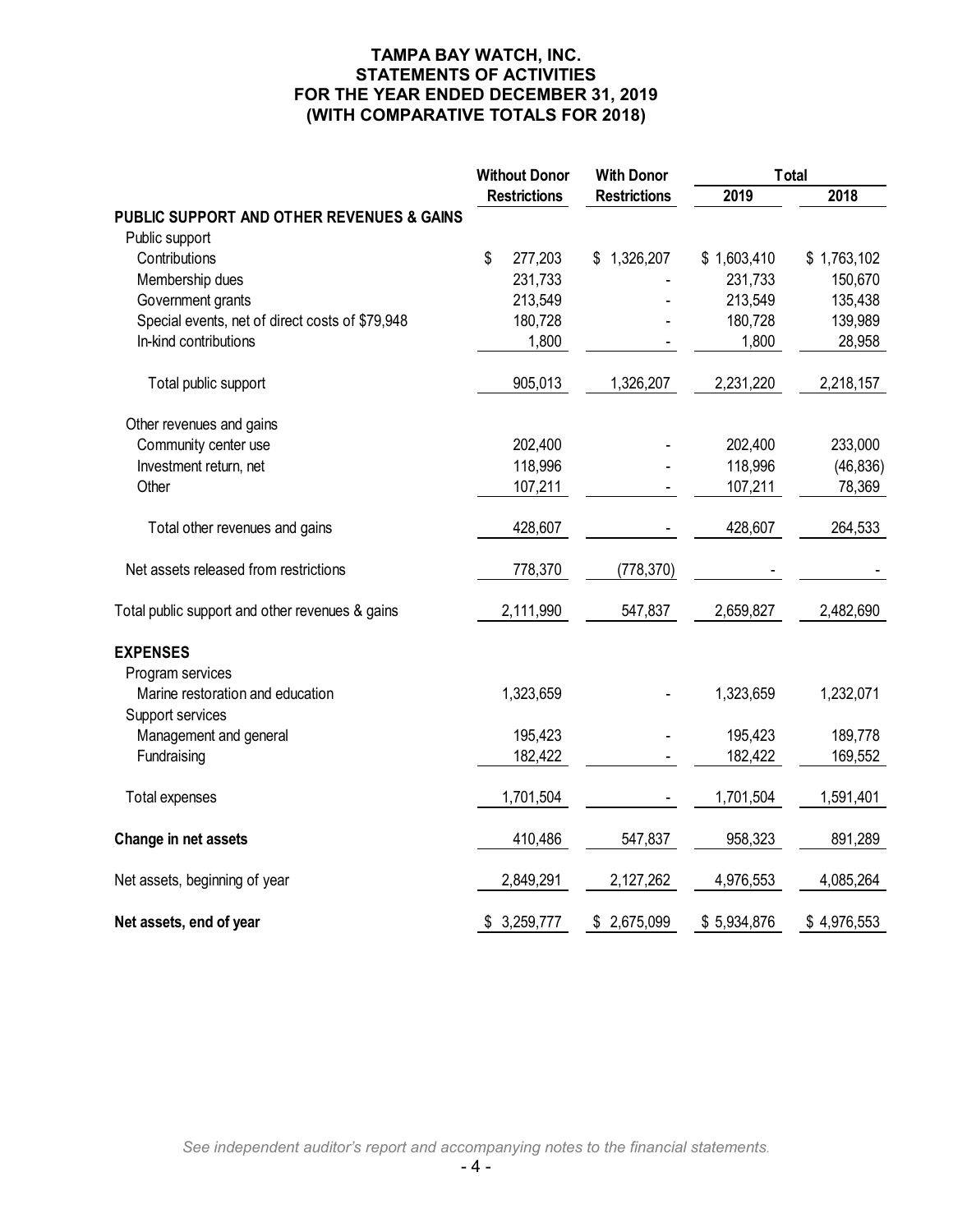### **TAMPA BAY WATCH, INC. STATEMENTS OF ACTIVITIES FOR THE YEAR ENDED DECEMBER 31, 2019 (WITH COMPARATIVE TOTALS FOR 2018)**

|                                                      | <b>Without Donor</b> |                     | <b>With Donor</b>   | <b>Total</b> |             |
|------------------------------------------------------|----------------------|---------------------|---------------------|--------------|-------------|
|                                                      |                      | <b>Restrictions</b> | <b>Restrictions</b> | 2019         | 2018        |
| PUBLIC SUPPORT AND OTHER REVENUES & GAINS            |                      |                     |                     |              |             |
| Public support                                       |                      |                     |                     |              |             |
| Contributions                                        | \$                   | 277,203             | \$1,326,207         | \$1,603,410  | \$1,763,102 |
| Membership dues                                      |                      | 231,733             |                     | 231,733      | 150,670     |
| Government grants                                    |                      | 213,549             |                     | 213,549      | 135,438     |
| Special events, net of direct costs of \$79,948      |                      | 180,728             |                     | 180,728      | 139,989     |
| In-kind contributions                                |                      | 1,800               |                     | 1,800        | 28,958      |
| Total public support                                 |                      | 905,013             | 1,326,207           | 2,231,220    | 2,218,157   |
| Other revenues and gains                             |                      |                     |                     |              |             |
| Community center use                                 |                      | 202,400             |                     | 202,400      | 233,000     |
| Investment return, net                               |                      | 118,996             |                     | 118,996      | (46, 836)   |
| Other                                                |                      | 107,211             |                     | 107,211      | 78,369      |
| Total other revenues and gains                       |                      | 428,607             |                     | 428,607      | 264,533     |
| Net assets released from restrictions                |                      | 778,370             | (778, 370)          |              |             |
| Total public support and other revenues & gains      |                      | 2,111,990           | 547,837             | 2,659,827    | 2,482,690   |
| <b>EXPENSES</b>                                      |                      |                     |                     |              |             |
| Program services                                     |                      |                     |                     |              |             |
| Marine restoration and education<br>Support services |                      | 1,323,659           |                     | 1,323,659    | 1,232,071   |
| Management and general                               |                      | 195,423             |                     | 195,423      | 189,778     |
| Fundraising                                          |                      | 182,422             |                     | 182,422      | 169,552     |
| Total expenses                                       |                      | 1,701,504           |                     | 1,701,504    | 1,591,401   |
| Change in net assets                                 |                      | 410,486             | 547,837             | 958,323      | 891,289     |
| Net assets, beginning of year                        |                      | 2,849,291           | 2,127,262           | 4,976,553    | 4,085,264   |
| Net assets, end of year                              |                      | \$3,259,777         | \$2,675,099         | \$5,934,876  | \$4,976,553 |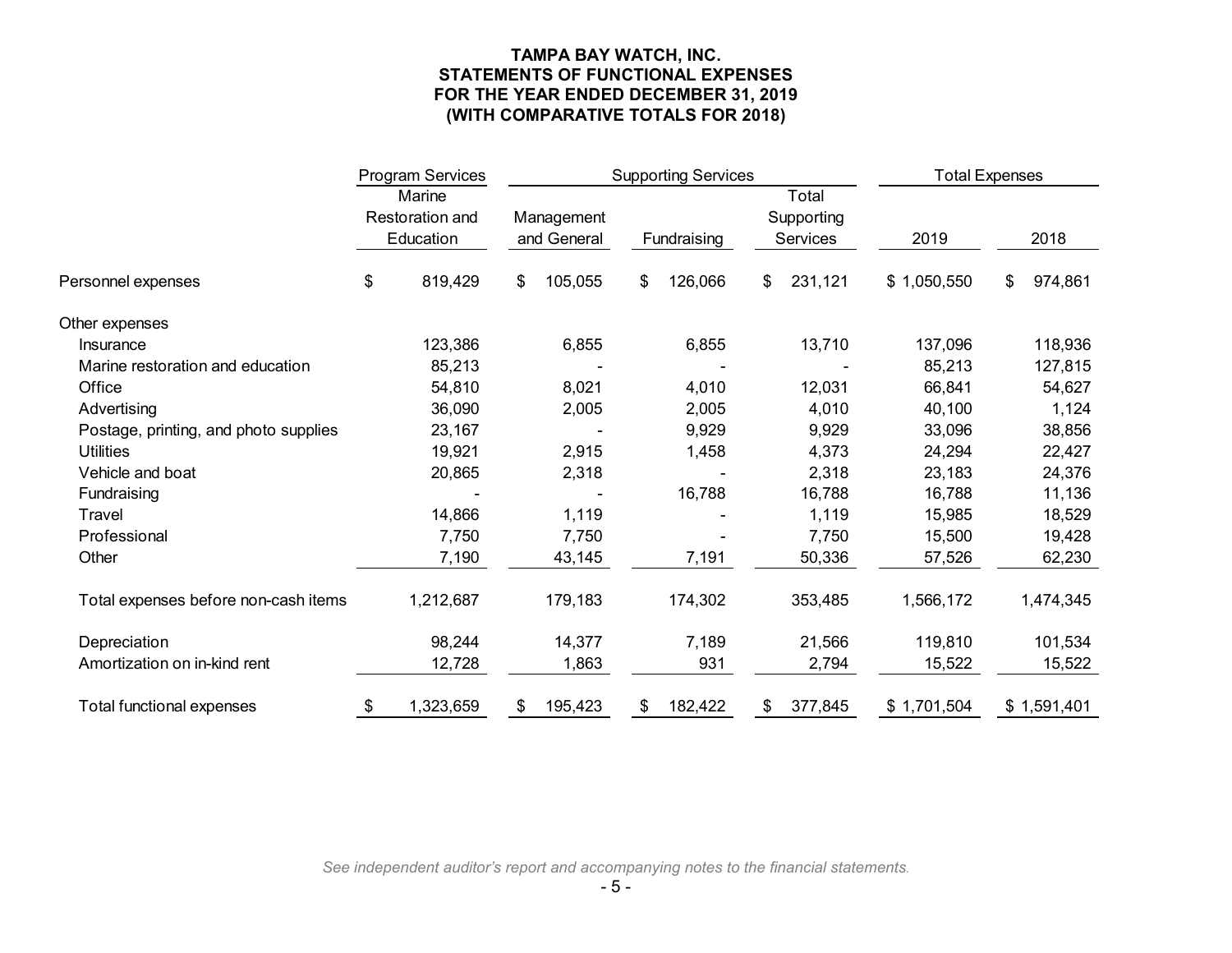### **TAMPA BAY WATCH, INC. STATEMENTS OF FUNCTIONAL EXPENSES FOR THE YEAR ENDED DECEMBER 31, 2019 (WITH COMPARATIVE TOTALS FOR 2018)**

|                                       | <b>Program Services</b> |                                               | <b>Supporting Services</b> |    |             | <b>Total Expenses</b>                  |             |               |
|---------------------------------------|-------------------------|-----------------------------------------------|----------------------------|----|-------------|----------------------------------------|-------------|---------------|
|                                       |                         | Marine<br><b>Restoration and</b><br>Education | Management<br>and General  |    | Fundraising | Total<br>Supporting<br><b>Services</b> | 2019        | 2018          |
| Personnel expenses                    | \$                      | 819,429                                       | \$<br>105,055              | \$ | 126,066     | \$<br>231,121                          | \$1,050,550 | \$<br>974,861 |
| Other expenses                        |                         |                                               |                            |    |             |                                        |             |               |
| Insurance                             |                         | 123,386                                       | 6,855                      |    | 6,855       | 13,710                                 | 137,096     | 118,936       |
| Marine restoration and education      |                         | 85,213                                        |                            |    |             |                                        | 85,213      | 127,815       |
| Office                                |                         | 54,810                                        | 8,021                      |    | 4,010       | 12,031                                 | 66,841      | 54,627        |
| Advertising                           |                         | 36,090                                        | 2,005                      |    | 2,005       | 4,010                                  | 40,100      | 1,124         |
| Postage, printing, and photo supplies |                         | 23,167                                        |                            |    | 9,929       | 9,929                                  | 33,096      | 38,856        |
| <b>Utilities</b>                      |                         | 19,921                                        | 2,915                      |    | 1,458       | 4,373                                  | 24,294      | 22,427        |
| Vehicle and boat                      |                         | 20,865                                        | 2,318                      |    |             | 2,318                                  | 23,183      | 24,376        |
| Fundraising                           |                         |                                               |                            |    | 16,788      | 16,788                                 | 16,788      | 11,136        |
| Travel                                |                         | 14,866                                        | 1,119                      |    |             | 1,119                                  | 15,985      | 18,529        |
| Professional                          |                         | 7,750                                         | 7,750                      |    |             | 7,750                                  | 15,500      | 19,428        |
| Other                                 |                         | 7,190                                         | 43,145                     |    | 7,191       | 50,336                                 | 57,526      | 62,230        |
| Total expenses before non-cash items  |                         | 1,212,687                                     | 179,183                    |    | 174,302     | 353,485                                | 1,566,172   | 1,474,345     |
| Depreciation                          |                         | 98,244                                        | 14,377                     |    | 7,189       | 21,566                                 | 119,810     | 101,534       |
| Amortization on in-kind rent          |                         | 12,728                                        | 1,863                      |    | 931         | 2,794                                  | 15,522      | 15,522        |
| Total functional expenses             | \$                      | 1,323,659                                     | \$<br>195,423              | \$ | 182,422     | \$<br>377,845                          | \$1,701,504 | \$1,591,401   |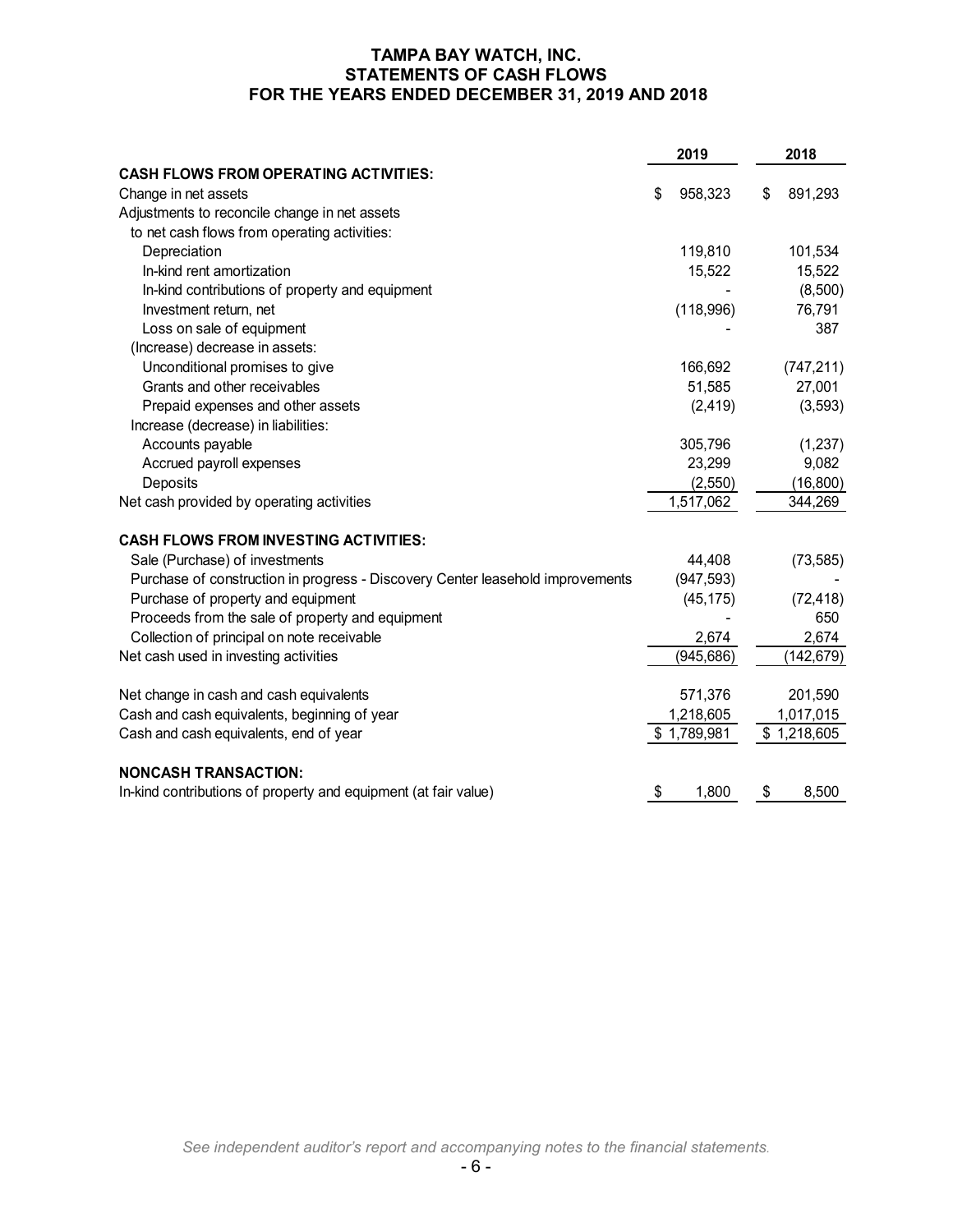### **TAMPA BAY WATCH, INC. STATEMENTS OF CASH FLOWS FOR THE YEARS ENDED DECEMBER 31, 2019 AND 2018**

|                                                                                | 2019 |             | 2018 |             |
|--------------------------------------------------------------------------------|------|-------------|------|-------------|
| <b>CASH FLOWS FROM OPERATING ACTIVITIES:</b>                                   |      |             |      |             |
| Change in net assets                                                           | \$   | 958,323     | \$   | 891,293     |
| Adjustments to reconcile change in net assets                                  |      |             |      |             |
| to net cash flows from operating activities:                                   |      |             |      |             |
| Depreciation                                                                   |      | 119,810     |      | 101,534     |
| In-kind rent amortization                                                      |      | 15,522      |      | 15,522      |
| In-kind contributions of property and equipment                                |      |             |      | (8,500)     |
| Investment return, net                                                         |      | (118,996)   |      | 76,791      |
| Loss on sale of equipment                                                      |      |             |      | 387         |
| (Increase) decrease in assets:                                                 |      |             |      |             |
| Unconditional promises to give                                                 |      | 166,692     |      | (747, 211)  |
| Grants and other receivables                                                   |      | 51,585      |      | 27,001      |
| Prepaid expenses and other assets                                              |      | (2, 419)    |      | (3, 593)    |
| Increase (decrease) in liabilities:                                            |      |             |      |             |
| Accounts payable                                                               |      | 305,796     |      | (1, 237)    |
| Accrued payroll expenses                                                       |      | 23,299      |      | 9,082       |
| Deposits                                                                       |      | (2,550)     |      | (16, 800)   |
| Net cash provided by operating activities                                      |      | 1,517,062   |      | 344,269     |
| <b>CASH FLOWS FROM INVESTING ACTIVITIES:</b>                                   |      |             |      |             |
| Sale (Purchase) of investments                                                 |      | 44,408      |      | (73, 585)   |
| Purchase of construction in progress - Discovery Center leasehold improvements |      | (947, 593)  |      |             |
| Purchase of property and equipment                                             |      | (45, 175)   |      | (72, 418)   |
| Proceeds from the sale of property and equipment                               |      |             |      | 650         |
| Collection of principal on note receivable                                     |      | 2,674       |      | 2,674       |
| Net cash used in investing activities                                          |      | (945, 686)  |      | (142, 679)  |
| Net change in cash and cash equivalents                                        |      | 571,376     |      | 201,590     |
| Cash and cash equivalents, beginning of year                                   |      | 1,218,605   |      | 1,017,015   |
| Cash and cash equivalents, end of year                                         |      | \$1,789,981 |      | \$1,218,605 |
|                                                                                |      |             |      |             |
| <b>NONCASH TRANSACTION:</b>                                                    |      |             |      |             |
| In-kind contributions of property and equipment (at fair value)                | \$   | 1,800       | \$   | 8,500       |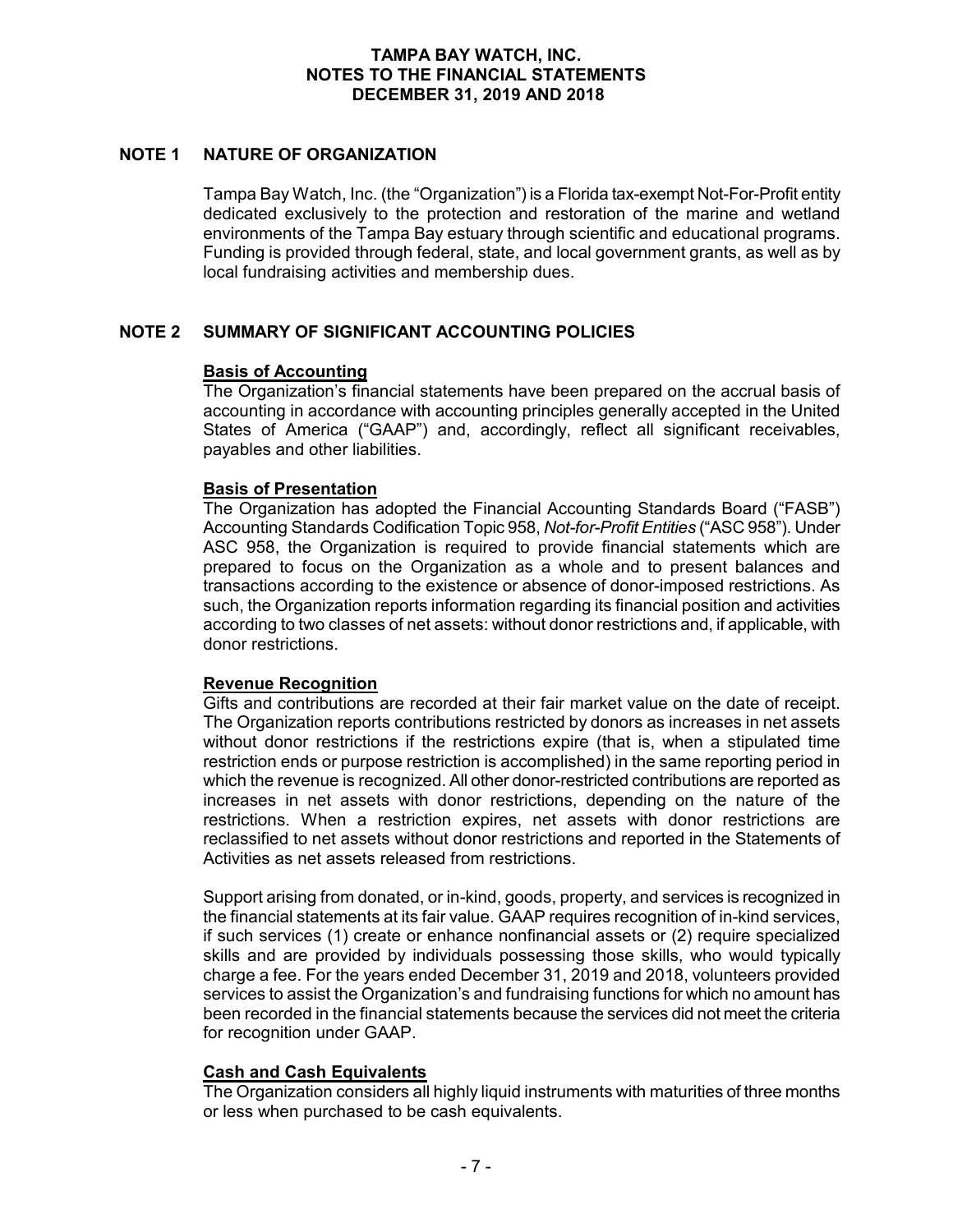### **NOTE 1 NATURE OF ORGANIZATION**

Tampa Bay Watch, Inc. (the "Organization") is a Florida tax-exempt Not-For-Profit entity dedicated exclusively to the protection and restoration of the marine and wetland environments of the Tampa Bay estuary through scientific and educational programs. Funding is provided through federal, state, and local government grants, as well as by local fundraising activities and membership dues.

### **NOTE 2 SUMMARY OF SIGNIFICANT ACCOUNTING POLICIES**

#### **Basis of Accounting**

The Organization's financial statements have been prepared on the accrual basis of accounting in accordance with accounting principles generally accepted in the United States of America ("GAAP") and, accordingly, reflect all significant receivables, payables and other liabilities.

#### **Basis of Presentation**

The Organization has adopted the Financial Accounting Standards Board ("FASB") Accounting Standards Codification Topic 958, *Not-for-Profit Entities* ("ASC 958"). Under ASC 958, the Organization is required to provide financial statements which are prepared to focus on the Organization as a whole and to present balances and transactions according to the existence or absence of donor-imposed restrictions. As such, the Organization reports information regarding its financial position and activities according to two classes of net assets: without donor restrictions and, if applicable, with donor restrictions.

### **Revenue Recognition**

Gifts and contributions are recorded at their fair market value on the date of receipt. The Organization reports contributions restricted by donors as increases in net assets without donor restrictions if the restrictions expire (that is, when a stipulated time restriction ends or purpose restriction is accomplished) in the same reporting period in which the revenue is recognized. All other donor-restricted contributions are reported as increases in net assets with donor restrictions, depending on the nature of the restrictions. When a restriction expires, net assets with donor restrictions are reclassified to net assets without donor restrictions and reported in the Statements of Activities as net assets released from restrictions.

Support arising from donated, or in-kind, goods, property, and services is recognized in the financial statements at its fair value. GAAP requires recognition of in-kind services, if such services (1) create or enhance nonfinancial assets or (2) require specialized skills and are provided by individuals possessing those skills, who would typically charge a fee. For the years ended December 31, 2019 and 2018, volunteers provided services to assist the Organization's and fundraising functions for which no amount has been recorded in the financial statements because the services did not meet the criteria for recognition under GAAP.

#### **Cash and Cash Equivalents**

The Organization considers all highly liquid instruments with maturities of three months or less when purchased to be cash equivalents.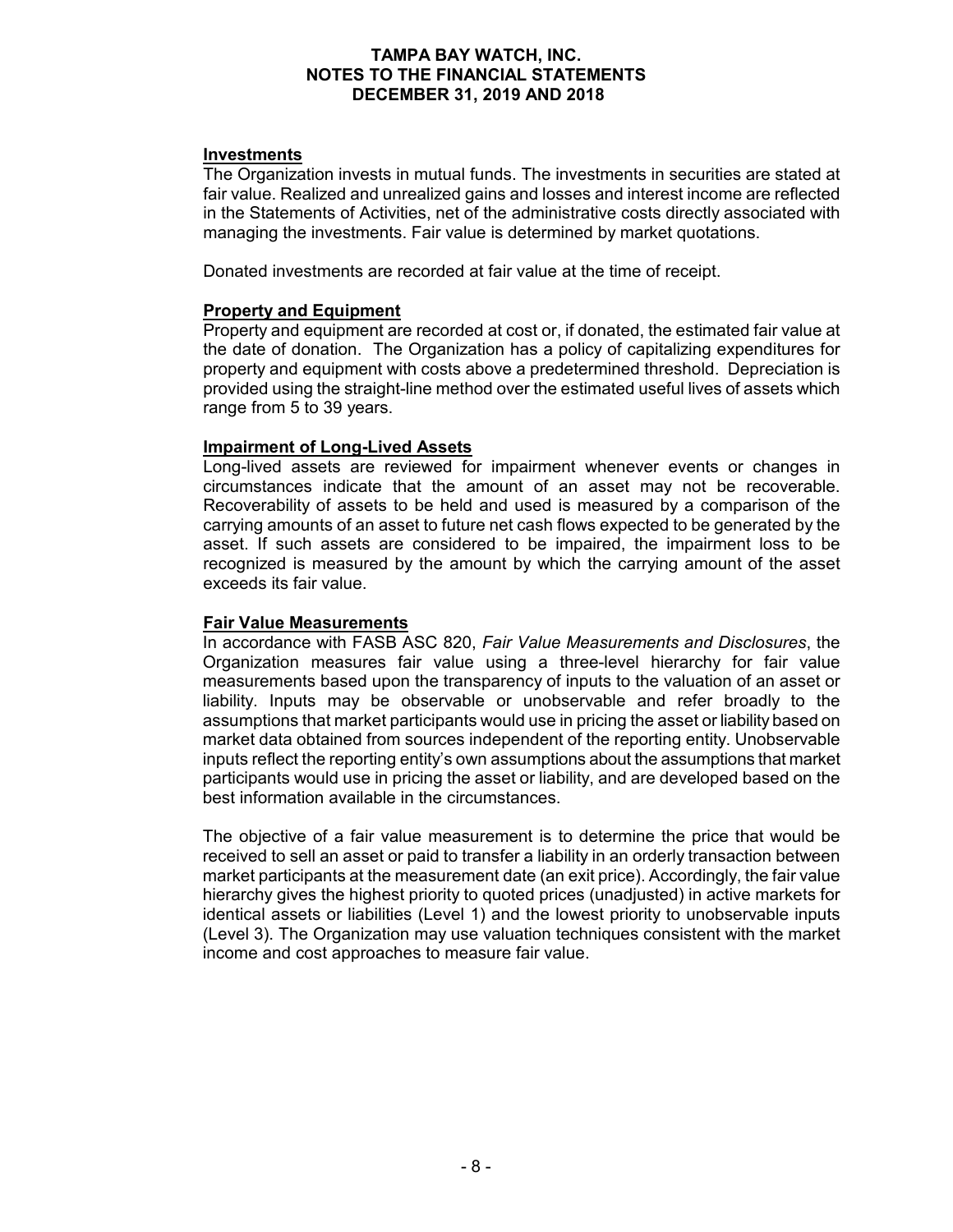#### **Investments**

The Organization invests in mutual funds. The investments in securities are stated at fair value. Realized and unrealized gains and losses and interest income are reflected in the Statements of Activities, net of the administrative costs directly associated with managing the investments. Fair value is determined by market quotations.

Donated investments are recorded at fair value at the time of receipt.

#### **Property and Equipment**

Property and equipment are recorded at cost or, if donated, the estimated fair value at the date of donation. The Organization has a policy of capitalizing expenditures for property and equipment with costs above a predetermined threshold. Depreciation is provided using the straight-line method over the estimated useful lives of assets which range from 5 to 39 years.

#### **Impairment of Long-Lived Assets**

Long-lived assets are reviewed for impairment whenever events or changes in circumstances indicate that the amount of an asset may not be recoverable. Recoverability of assets to be held and used is measured by a comparison of the carrying amounts of an asset to future net cash flows expected to be generated by the asset. If such assets are considered to be impaired, the impairment loss to be recognized is measured by the amount by which the carrying amount of the asset exceeds its fair value.

#### **Fair Value Measurements**

In accordance with FASB ASC 820, *Fair Value Measurements and Disclosures*, the Organization measures fair value using a three-level hierarchy for fair value measurements based upon the transparency of inputs to the valuation of an asset or liability. Inputs may be observable or unobservable and refer broadly to the assumptions that market participants would use in pricing the asset or liability based on market data obtained from sources independent of the reporting entity. Unobservable inputs reflect the reporting entity's own assumptions about the assumptions that market participants would use in pricing the asset or liability, and are developed based on the best information available in the circumstances.

The objective of a fair value measurement is to determine the price that would be received to sell an asset or paid to transfer a liability in an orderly transaction between market participants at the measurement date (an exit price). Accordingly, the fair value hierarchy gives the highest priority to quoted prices (unadjusted) in active markets for identical assets or liabilities (Level 1) and the lowest priority to unobservable inputs (Level 3). The Organization may use valuation techniques consistent with the market income and cost approaches to measure fair value.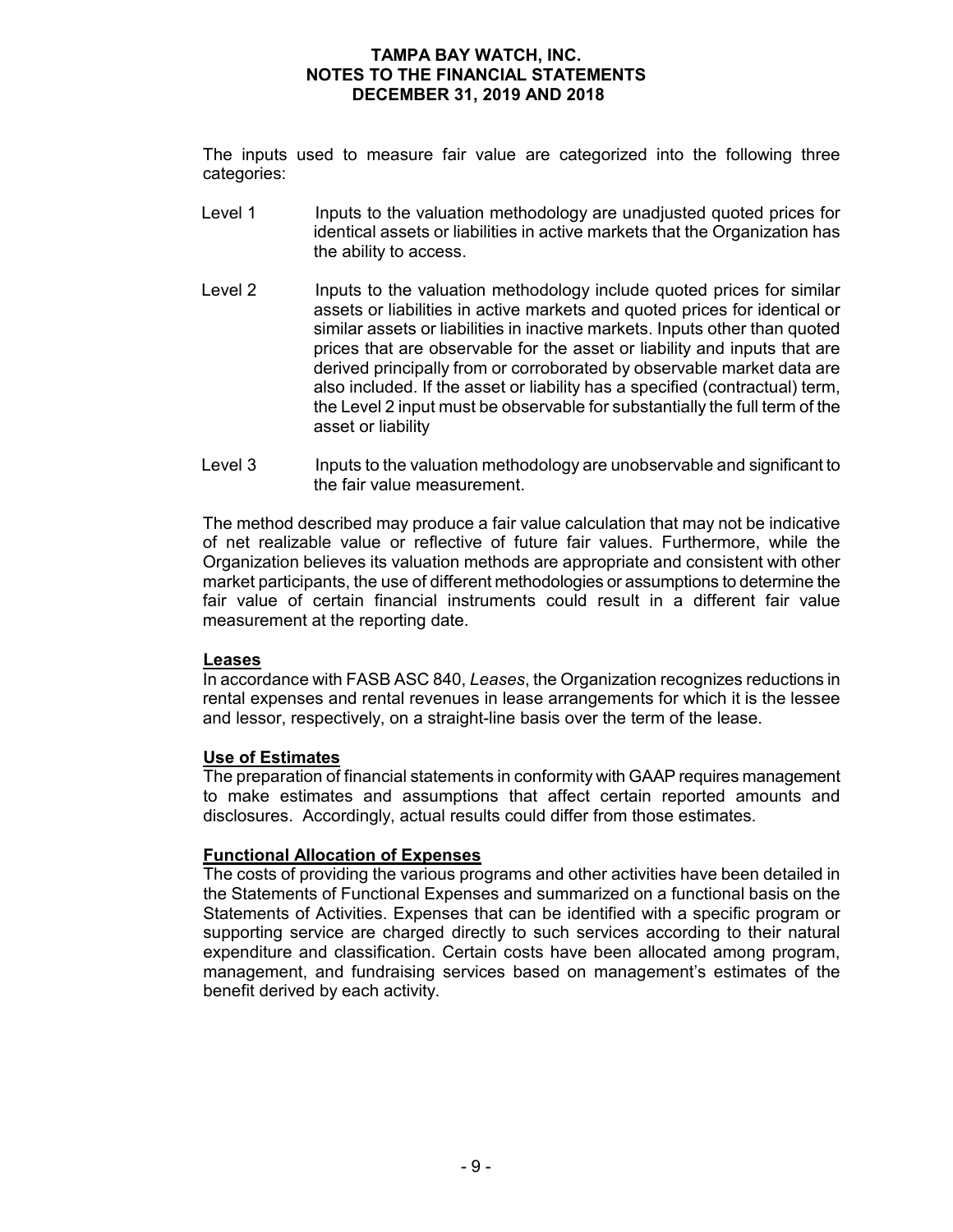The inputs used to measure fair value are categorized into the following three categories:

- Level 1 Inputs to the valuation methodology are unadjusted quoted prices for identical assets or liabilities in active markets that the Organization has the ability to access.
- Level 2 Inputs to the valuation methodology include quoted prices for similar assets or liabilities in active markets and quoted prices for identical or similar assets or liabilities in inactive markets. Inputs other than quoted prices that are observable for the asset or liability and inputs that are derived principally from or corroborated by observable market data are also included. If the asset or liability has a specified (contractual) term, the Level 2 input must be observable for substantially the full term of the asset or liability
- Level 3 Inputs to the valuation methodology are unobservable and significant to the fair value measurement.

The method described may produce a fair value calculation that may not be indicative of net realizable value or reflective of future fair values. Furthermore, while the Organization believes its valuation methods are appropriate and consistent with other market participants, the use of different methodologies or assumptions to determine the fair value of certain financial instruments could result in a different fair value measurement at the reporting date.

#### **Leases**

In accordance with FASB ASC 840, *Leases*, the Organization recognizes reductions in rental expenses and rental revenues in lease arrangements for which it is the lessee and lessor, respectively, on a straight-line basis over the term of the lease.

#### **Use of Estimates**

The preparation of financial statements in conformity with GAAP requires management to make estimates and assumptions that affect certain reported amounts and disclosures. Accordingly, actual results could differ from those estimates.

#### **Functional Allocation of Expenses**

The costs of providing the various programs and other activities have been detailed in the Statements of Functional Expenses and summarized on a functional basis on the Statements of Activities. Expenses that can be identified with a specific program or supporting service are charged directly to such services according to their natural expenditure and classification. Certain costs have been allocated among program, management, and fundraising services based on management's estimates of the benefit derived by each activity.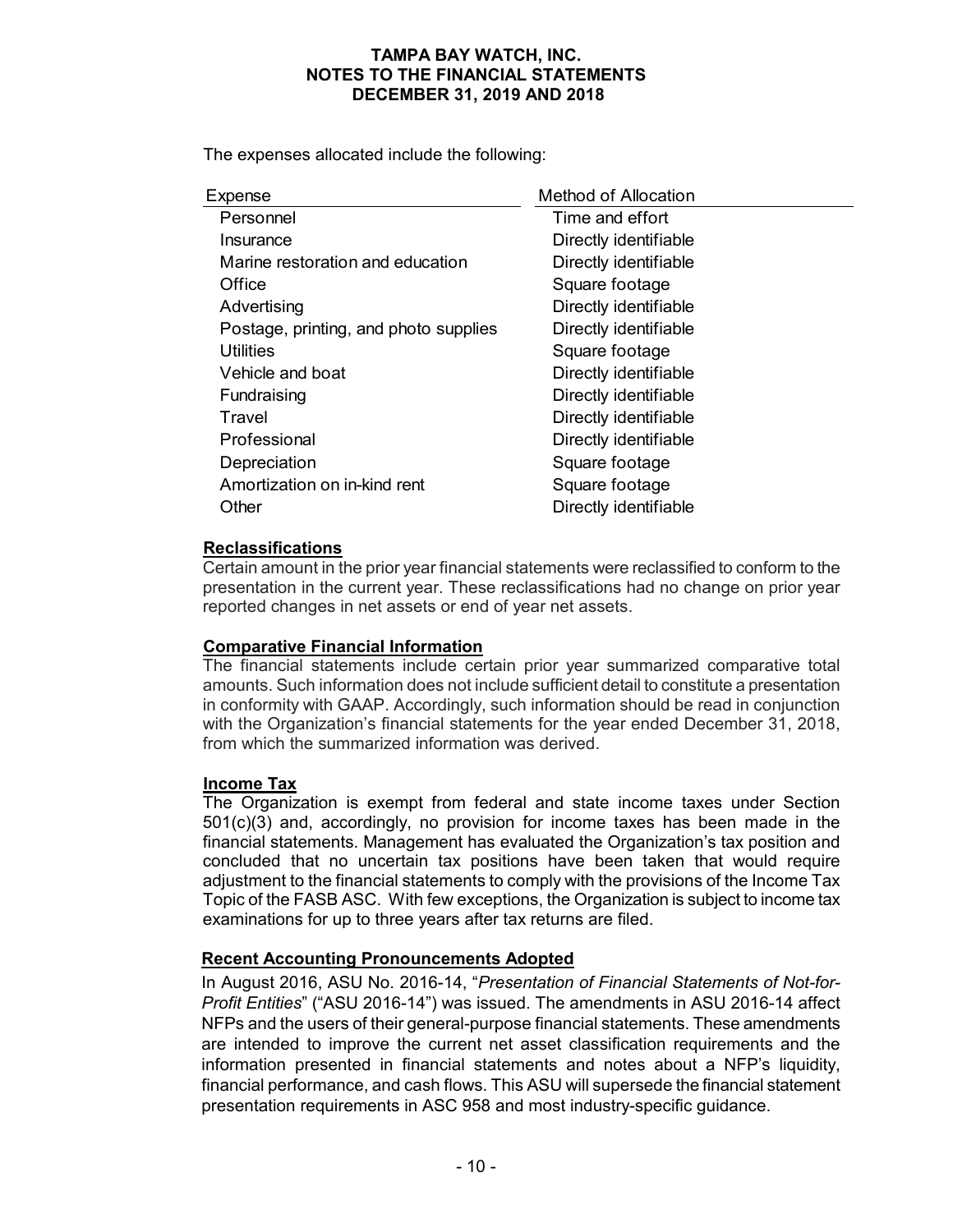The expenses allocated include the following:

| Method of Allocation  |
|-----------------------|
| Time and effort       |
| Directly identifiable |
| Directly identifiable |
| Square footage        |
| Directly identifiable |
| Directly identifiable |
| Square footage        |
| Directly identifiable |
| Directly identifiable |
| Directly identifiable |
| Directly identifiable |
| Square footage        |
| Square footage        |
| Directly identifiable |
|                       |

### **Reclassifications**

Certain amount in the prior year financial statements were reclassified to conform to the presentation in the current year. These reclassifications had no change on prior year reported changes in net assets or end of year net assets.

### **Comparative Financial Information**

The financial statements include certain prior year summarized comparative total amounts. Such information does not include sufficient detail to constitute a presentation in conformity with GAAP. Accordingly, such information should be read in conjunction with the Organization's financial statements for the year ended December 31, 2018, from which the summarized information was derived.

### **Income Tax**

The Organization is exempt from federal and state income taxes under Section 501(c)(3) and, accordingly, no provision for income taxes has been made in the financial statements. Management has evaluated the Organization's tax position and concluded that no uncertain tax positions have been taken that would require adjustment to the financial statements to comply with the provisions of the Income Tax Topic of the FASB ASC. With few exceptions, the Organization is subject to income tax examinations for up to three years after tax returns are filed.

### **Recent Accounting Pronouncements Adopted**

In August 2016, ASU No. 2016-14, "*Presentation of Financial Statements of Not-for-Profit Entities*" ("ASU 2016-14") was issued. The amendments in ASU 2016-14 affect NFPs and the users of their general-purpose financial statements. These amendments are intended to improve the current net asset classification requirements and the information presented in financial statements and notes about a NFP's liquidity, financial performance, and cash flows. This ASU will supersede the financial statement presentation requirements in ASC 958 and most industry-specific guidance.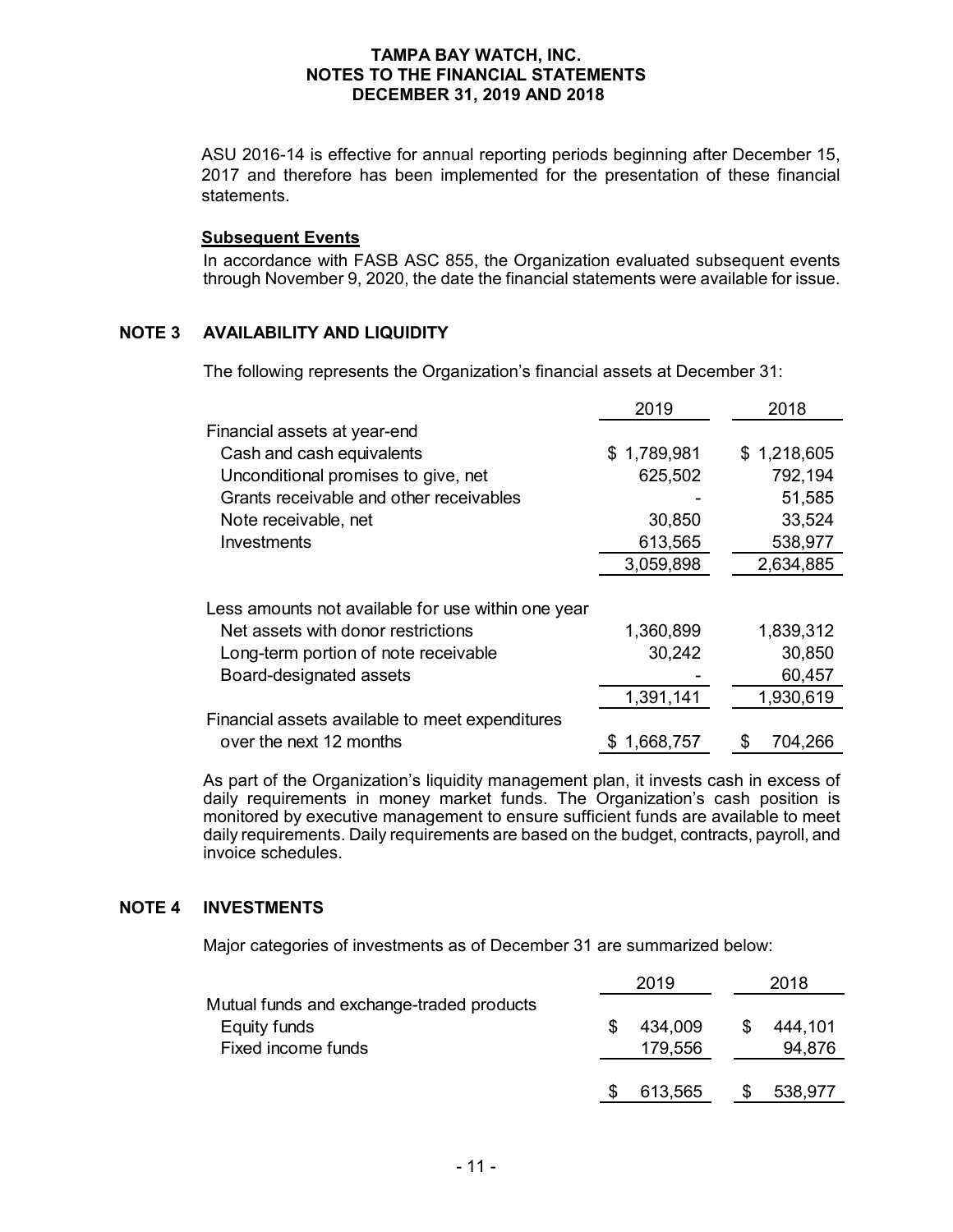ASU 2016-14 is effective for annual reporting periods beginning after December 15, 2017 and therefore has been implemented for the presentation of these financial statements.

#### **Subsequent Events**

In accordance with FASB ASC 855, the Organization evaluated subsequent events through November 9, 2020, the date the financial statements were available for issue.

### **NOTE 3 AVAILABILITY AND LIQUIDITY**

The following represents the Organization's financial assets at December 31:

|                                                    | 2019        | 2018        |
|----------------------------------------------------|-------------|-------------|
| Financial assets at year-end                       |             |             |
| Cash and cash equivalents                          | \$1,789,981 | \$1,218,605 |
| Unconditional promises to give, net                | 625,502     | 792,194     |
| Grants receivable and other receivables            |             | 51,585      |
| Note receivable, net                               | 30,850      | 33,524      |
| Investments                                        | 613,565     | 538,977     |
|                                                    | 3,059,898   | 2,634,885   |
| Less amounts not available for use within one year |             |             |
| Net assets with donor restrictions                 | 1,360,899   | 1,839,312   |
| Long-term portion of note receivable               | 30,242      | 30,850      |
| Board-designated assets                            |             | 60,457      |
|                                                    | 1,391,141   | 1,930,619   |
| Financial assets available to meet expenditures    |             |             |
| over the next 12 months                            | 1,668,757   | 704,266     |

As part of the Organization's liquidity management plan, it invests cash in excess of daily requirements in money market funds. The Organization's cash position is monitored by executive management to ensure sufficient funds are available to meet daily requirements. Daily requirements are based on the budget, contracts, payroll, and invoice schedules.

### **NOTE 4 INVESTMENTS**

Major categories of investments as of December 31 are summarized below:

|                                                           | 2019    |   | 2018    |
|-----------------------------------------------------------|---------|---|---------|
| Mutual funds and exchange-traded products<br>Equity funds | 434,009 | S | 444,101 |
| Fixed income funds                                        | 179,556 |   | 94,876  |
|                                                           | 613,565 |   | 538,977 |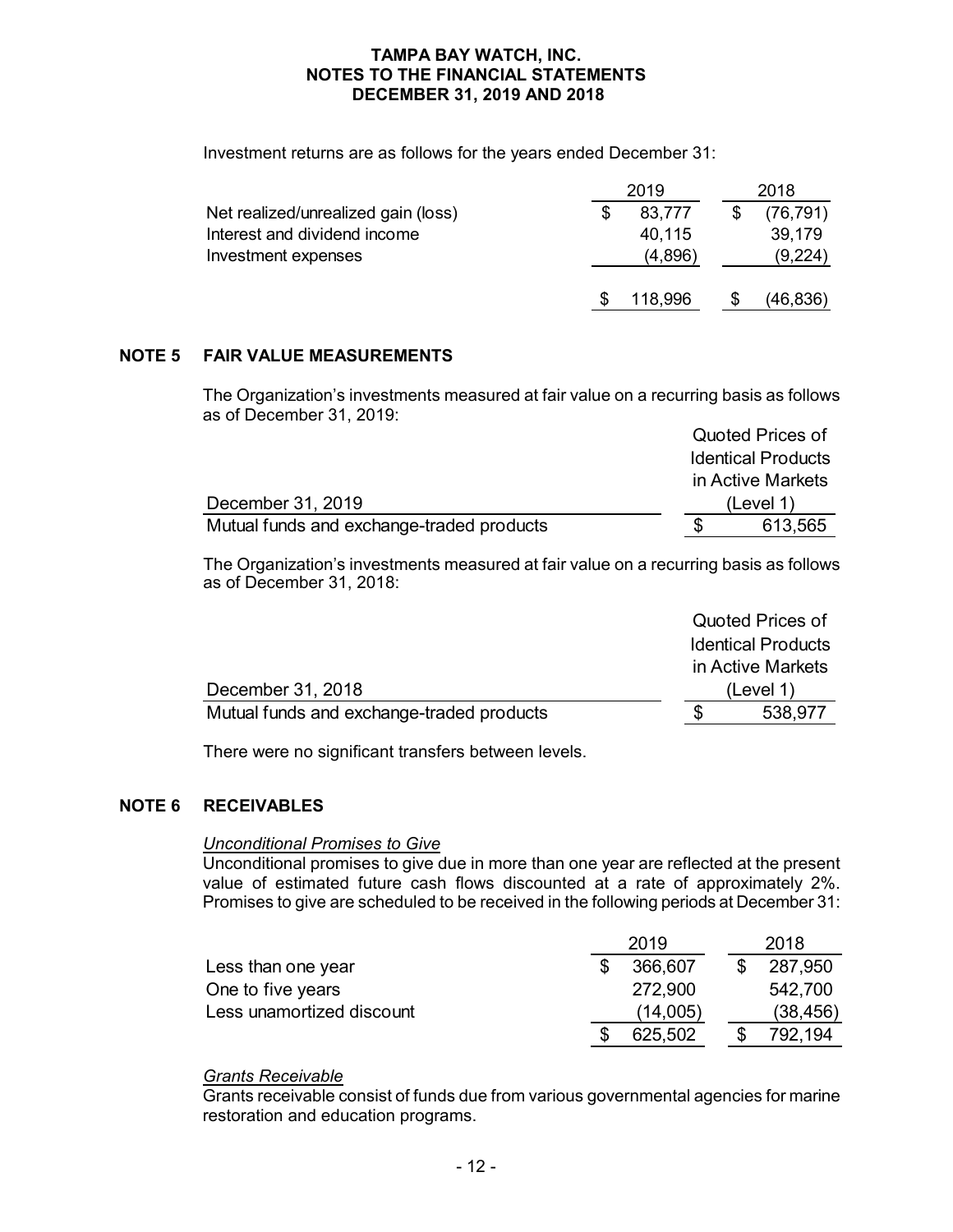Investment returns are as follows for the years ended December 31:

|                                     | 2019 |         |  | 2018      |  |  |
|-------------------------------------|------|---------|--|-----------|--|--|
| Net realized/unrealized gain (loss) |      | 83,777  |  | (76, 791) |  |  |
| Interest and dividend income        |      | 40,115  |  | 39,179    |  |  |
| Investment expenses                 |      | (4,896) |  | (9,224)   |  |  |
|                                     |      | 118,996 |  | (46, 836) |  |  |

## **NOTE 5 FAIR VALUE MEASUREMENTS**

The Organization's investments measured at fair value on a recurring basis as follows as of December 31, 2019:

|                                           | Quoted Prices of          |
|-------------------------------------------|---------------------------|
|                                           | <b>Identical Products</b> |
|                                           | in Active Markets         |
| December 31, 2019                         | (Level 1)                 |
| Mutual funds and exchange-traded products | 613,565                   |

The Organization's investments measured at fair value on a recurring basis as follows as of December 31, 2018:

|                                           | Quoted Prices of          |
|-------------------------------------------|---------------------------|
|                                           | <b>Identical Products</b> |
|                                           | in Active Markets         |
| December 31, 2018                         | (Level 1)                 |
| Mutual funds and exchange-traded products | 538,977                   |
|                                           |                           |

There were no significant transfers between levels.

### **NOTE 6 RECEIVABLES**

#### *Unconditional Promises to Give*

Unconditional promises to give due in more than one year are reflected at the present value of estimated future cash flows discounted at a rate of approximately 2%. Promises to give are scheduled to be received in the following periods at December 31:

|                           | 2019     | 2018      |
|---------------------------|----------|-----------|
| Less than one year        | 366.607  | 287.950   |
| One to five years         | 272,900  | 542,700   |
| Less unamortized discount | (14,005) | (38, 456) |
|                           | 625,502  | 792.194   |

### *Grants Receivable*

Grants receivable consist of funds due from various governmental agencies for marine restoration and education programs.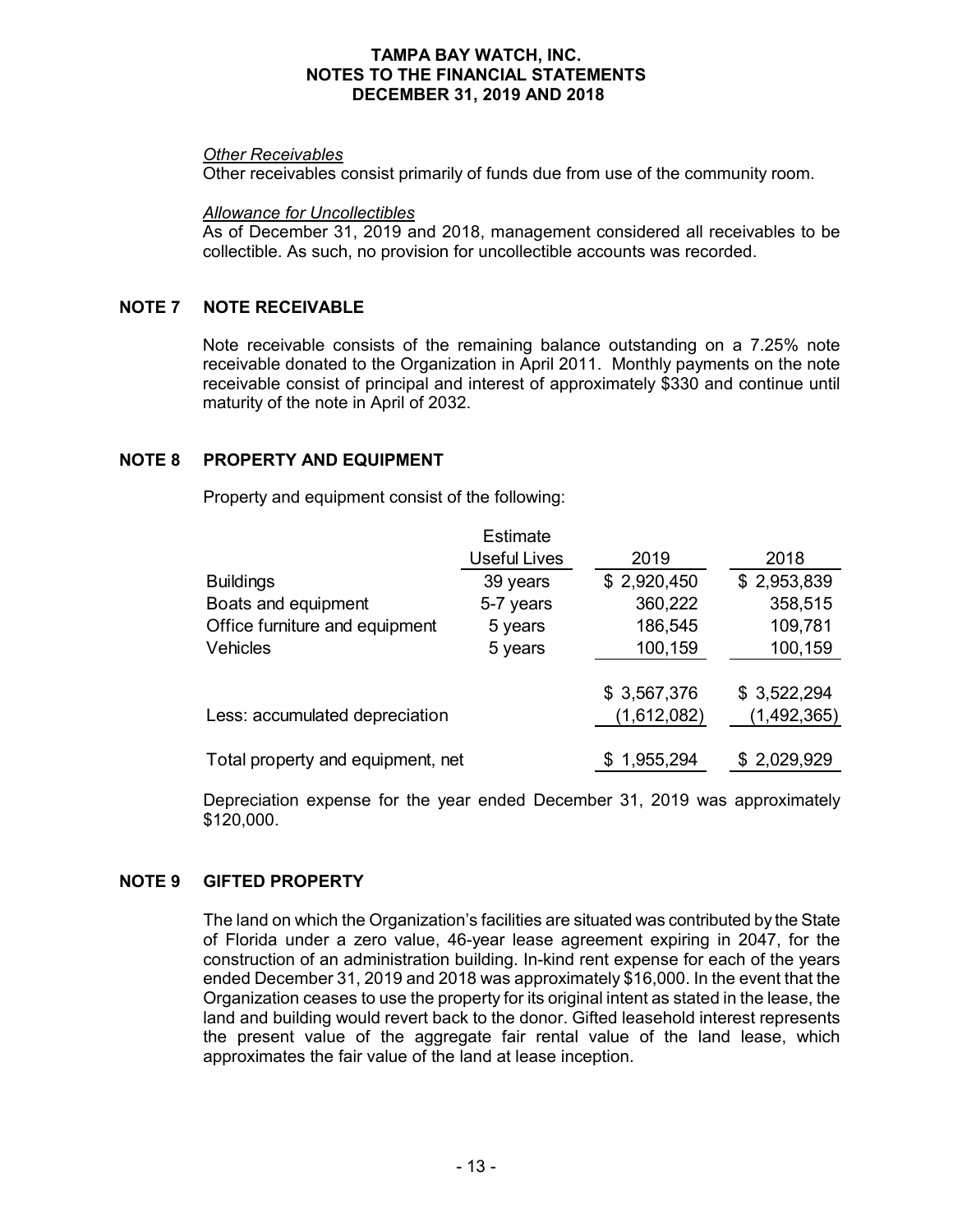#### *Other Receivables*

Other receivables consist primarily of funds due from use of the community room.

*Allowance for Uncollectibles*

As of December 31, 2019 and 2018, management considered all receivables to be collectible. As such, no provision for uncollectible accounts was recorded.

#### **NOTE 7 NOTE RECEIVABLE**

Note receivable consists of the remaining balance outstanding on a 7.25% note receivable donated to the Organization in April 2011. Monthly payments on the note receivable consist of principal and interest of approximately \$330 and continue until maturity of the note in April of 2032.

#### **NOTE 8 PROPERTY AND EQUIPMENT**

Property and equipment consist of the following:

|                                   | Estimate            |             |             |
|-----------------------------------|---------------------|-------------|-------------|
|                                   | <b>Useful Lives</b> | 2019        | 2018        |
| <b>Buildings</b>                  | 39 years            | \$2,920,450 | \$2,953,839 |
| Boats and equipment               | 5-7 years           | 360,222     | 358,515     |
| Office furniture and equipment    | 5 years             | 186,545     | 109,781     |
| Vehicles                          | 5 years             | 100,159     | 100,159     |
|                                   |                     |             |             |
|                                   |                     | \$3,567,376 | \$3,522,294 |
| Less: accumulated depreciation    |                     | (1,612,082) | (1,492,365) |
|                                   |                     |             |             |
| Total property and equipment, net |                     | 1,955,294   | \$2,029,929 |

Depreciation expense for the year ended December 31, 2019 was approximately \$120,000.

### **NOTE 9 GIFTED PROPERTY**

The land on which the Organization's facilities are situated was contributed by the State of Florida under a zero value, 46-year lease agreement expiring in 2047, for the construction of an administration building. In-kind rent expense for each of the years ended December 31, 2019 and 2018 was approximately \$16,000. In the event that the Organization ceases to use the property for its original intent as stated in the lease, the land and building would revert back to the donor. Gifted leasehold interest represents the present value of the aggregate fair rental value of the land lease, which approximates the fair value of the land at lease inception.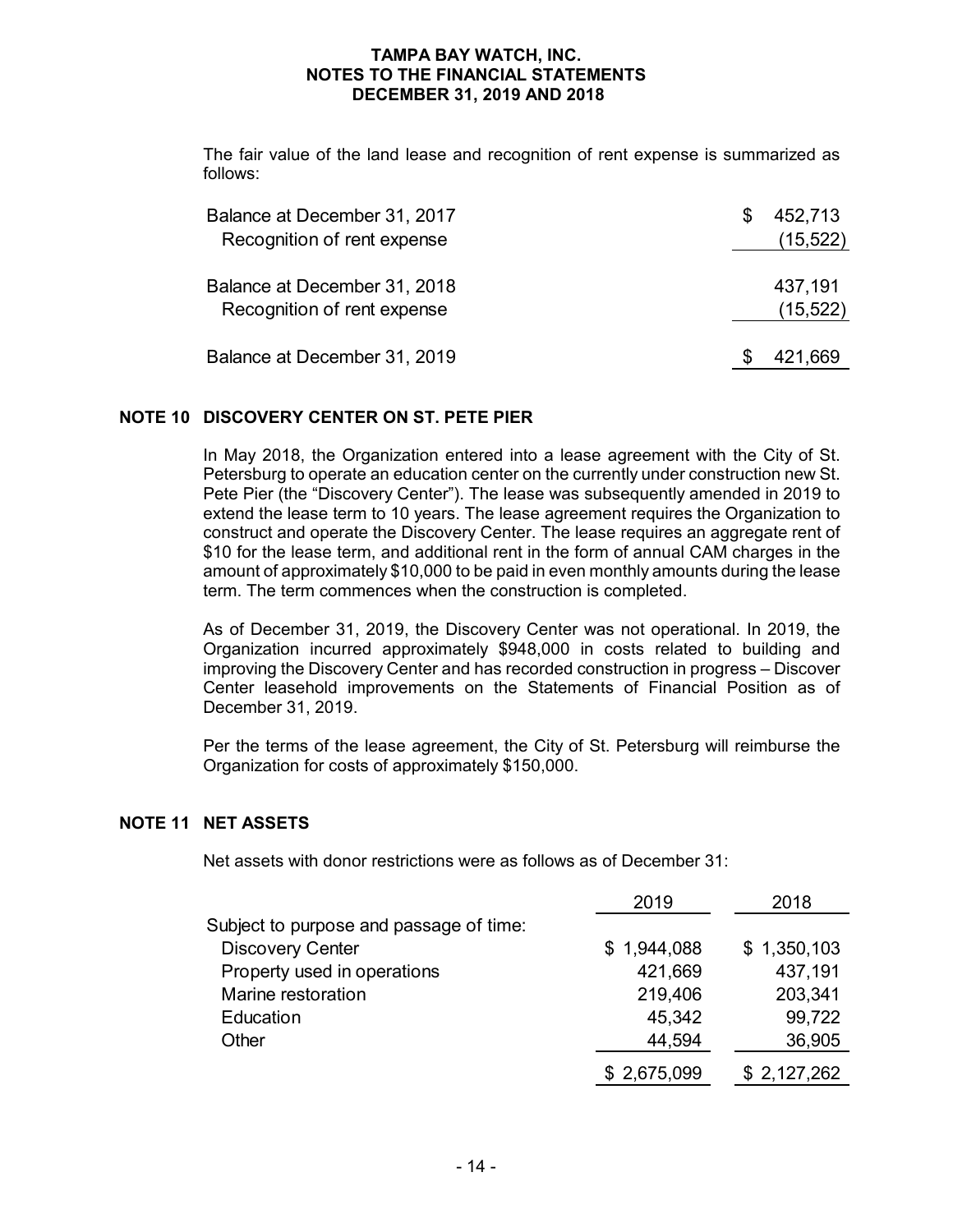The fair value of the land lease and recognition of rent expense is summarized as follows:

| Balance at December 31, 2017<br>Recognition of rent expense | 452,713<br>(15,522) |
|-------------------------------------------------------------|---------------------|
| Balance at December 31, 2018<br>Recognition of rent expense | 437,191<br>(15,522) |
| Balance at December 31, 2019                                | 421,669             |

#### **NOTE 10 DISCOVERY CENTER ON ST. PETE PIER**

In May 2018, the Organization entered into a lease agreement with the City of St. Petersburg to operate an education center on the currently under construction new St. Pete Pier (the "Discovery Center"). The lease was subsequently amended in 2019 to extend the lease term to 10 years. The lease agreement requires the Organization to construct and operate the Discovery Center. The lease requires an aggregate rent of \$10 for the lease term, and additional rent in the form of annual CAM charges in the amount of approximately \$10,000 to be paid in even monthly amounts during the lease term. The term commences when the construction is completed.

As of December 31, 2019, the Discovery Center was not operational. In 2019, the Organization incurred approximately \$948,000 in costs related to building and improving the Discovery Center and has recorded construction in progress – Discover Center leasehold improvements on the Statements of Financial Position as of December 31, 2019.

Per the terms of the lease agreement, the City of St. Petersburg will reimburse the Organization for costs of approximately \$150,000.

### **NOTE 11 NET ASSETS**

Net assets with donor restrictions were as follows as of December 31:

|                                         | 2019        | 2018        |
|-----------------------------------------|-------------|-------------|
| Subject to purpose and passage of time: |             |             |
| <b>Discovery Center</b>                 | \$1,944,088 | \$1,350,103 |
| Property used in operations             | 421,669     | 437,191     |
| Marine restoration                      | 219,406     | 203,341     |
| Education                               | 45,342      | 99,722      |
| Other                                   | 44,594      | 36,905      |
|                                         | \$2,675,099 | \$2,127,262 |